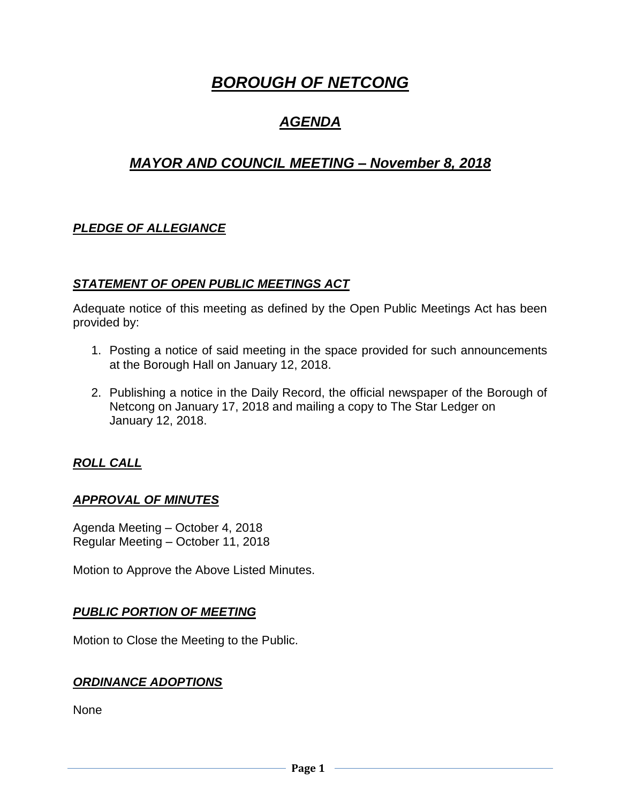# *BOROUGH OF NETCONG*

## *AGENDA*

## *MAYOR AND COUNCIL MEETING – November 8, 2018*

## *PLEDGE OF ALLEGIANCE*

### *STATEMENT OF OPEN PUBLIC MEETINGS ACT*

Adequate notice of this meeting as defined by the Open Public Meetings Act has been provided by:

- 1. Posting a notice of said meeting in the space provided for such announcements at the Borough Hall on January 12, 2018.
- 2. Publishing a notice in the Daily Record, the official newspaper of the Borough of Netcong on January 17, 2018 and mailing a copy to The Star Ledger on January 12, 2018.

## *ROLL CALL*

#### *APPROVAL OF MINUTES*

Agenda Meeting – October 4, 2018 Regular Meeting – October 11, 2018

Motion to Approve the Above Listed Minutes.

#### *PUBLIC PORTION OF MEETING*

Motion to Close the Meeting to the Public.

#### *ORDINANCE ADOPTIONS*

None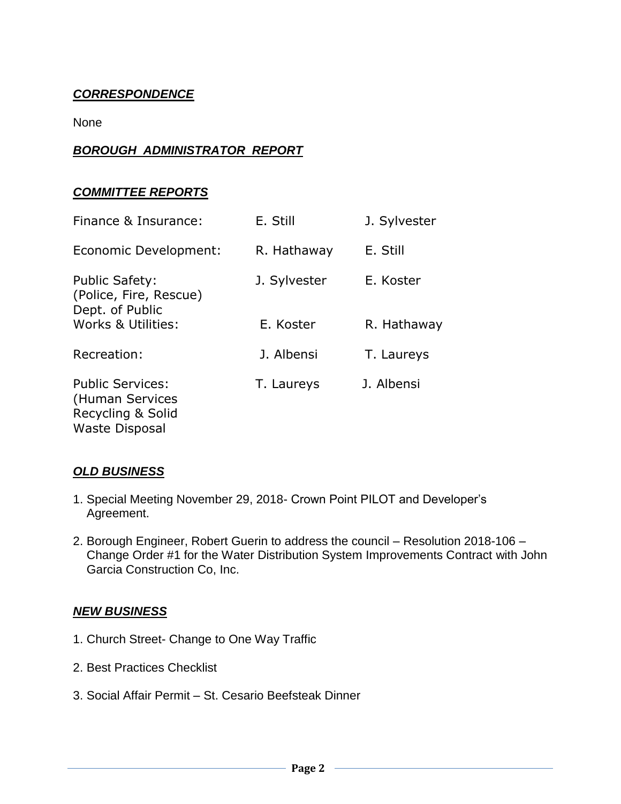## *CORRESPONDENCE*

None

## *BOROUGH ADMINISTRATOR REPORT*

#### *COMMITTEE REPORTS*

| Finance & Insurance:                                                                     | E. Still     | J. Sylvester |
|------------------------------------------------------------------------------------------|--------------|--------------|
| Economic Development:                                                                    | R. Hathaway  | E. Still     |
| <b>Public Safety:</b><br>(Police, Fire, Rescue)<br>Dept. of Public                       | J. Sylvester | E. Koster    |
| Works & Utilities:                                                                       | E. Koster    | R. Hathaway  |
| Recreation:                                                                              | J. Albensi   | T. Laureys   |
| <b>Public Services:</b><br>(Human Services<br>Recycling & Solid<br><b>Waste Disposal</b> | T. Laureys   | J. Albensi   |

#### *OLD BUSINESS*

- 1. Special Meeting November 29, 2018- Crown Point PILOT and Developer's Agreement.
- 2. Borough Engineer, Robert Guerin to address the council Resolution 2018-106 Change Order #1 for the Water Distribution System Improvements Contract with John Garcia Construction Co, Inc.

#### *NEW BUSINESS*

- 1. Church Street- Change to One Way Traffic
- 2. Best Practices Checklist
- 3. Social Affair Permit St. Cesario Beefsteak Dinner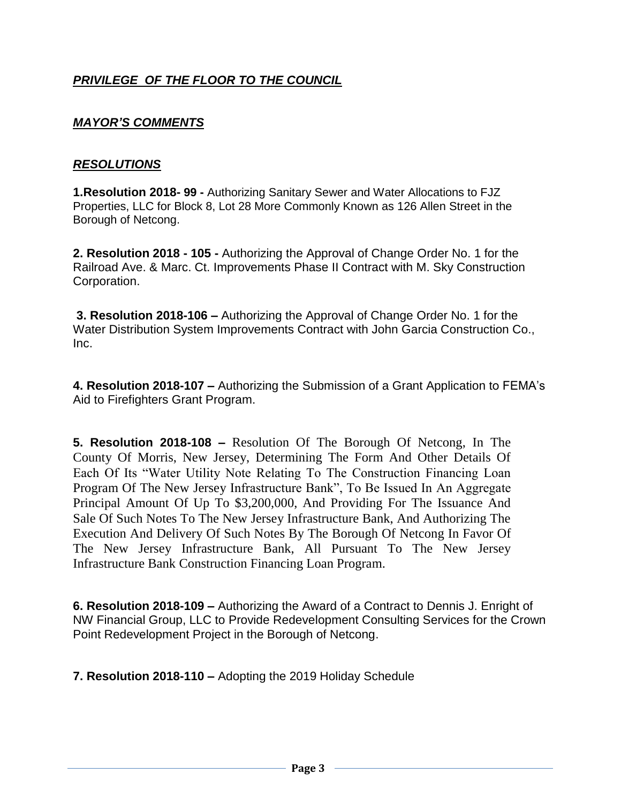## *PRIVILEGE OF THE FLOOR TO THE COUNCIL*

## *MAYOR'S COMMENTS*

#### *RESOLUTIONS*

**1.Resolution 2018- 99 -** Authorizing Sanitary Sewer and Water Allocations to FJZ Properties, LLC for Block 8, Lot 28 More Commonly Known as 126 Allen Street in the Borough of Netcong.

**2. Resolution 2018 - 105 -** Authorizing the Approval of Change Order No. 1 for the Railroad Ave. & Marc. Ct. Improvements Phase II Contract with M. Sky Construction Corporation.

**3. Resolution 2018-106 –** Authorizing the Approval of Change Order No. 1 for the Water Distribution System Improvements Contract with John Garcia Construction Co., Inc.

**4. Resolution 2018-107 –** Authorizing the Submission of a Grant Application to FEMA's Aid to Firefighters Grant Program.

**5. Resolution 2018-108 –** Resolution Of The Borough Of Netcong, In The County Of Morris, New Jersey, Determining The Form And Other Details Of Each Of Its "Water Utility Note Relating To The Construction Financing Loan Program Of The New Jersey Infrastructure Bank", To Be Issued In An Aggregate Principal Amount Of Up To \$3,200,000, And Providing For The Issuance And Sale Of Such Notes To The New Jersey Infrastructure Bank, And Authorizing The Execution And Delivery Of Such Notes By The Borough Of Netcong In Favor Of The New Jersey Infrastructure Bank, All Pursuant To The New Jersey Infrastructure Bank Construction Financing Loan Program.

**6. Resolution 2018-109 –** Authorizing the Award of a Contract to Dennis J. Enright of NW Financial Group, LLC to Provide Redevelopment Consulting Services for the Crown Point Redevelopment Project in the Borough of Netcong.

**7. Resolution 2018-110 –** Adopting the 2019 Holiday Schedule